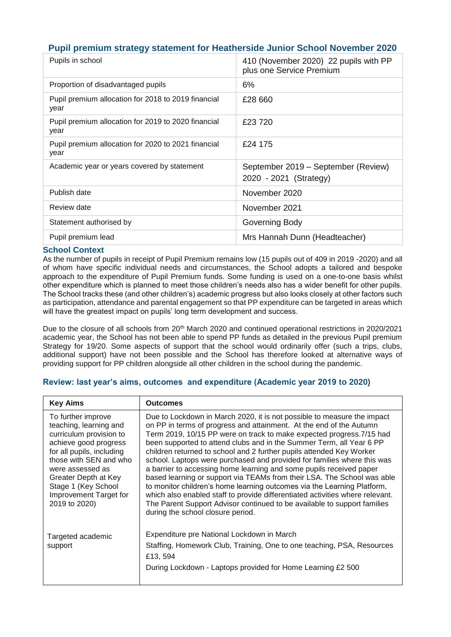## **Pupil premium strategy statement for Heatherside Junior School November 2020**

| Pupils in school                                            | 410 (November 2020) 22 pupils with PP<br>plus one Service Premium |
|-------------------------------------------------------------|-------------------------------------------------------------------|
| Proportion of disadvantaged pupils                          | 6%                                                                |
| Pupil premium allocation for 2018 to 2019 financial<br>year | £28 660                                                           |
| Pupil premium allocation for 2019 to 2020 financial<br>year | £23720                                                            |
| Pupil premium allocation for 2020 to 2021 financial<br>year | £24 175                                                           |
| Academic year or years covered by statement                 | September 2019 – September (Review)<br>2020 - 2021 (Strategy)     |
| Publish date                                                | November 2020                                                     |
| Review date                                                 | November 2021                                                     |
| Statement authorised by                                     | Governing Body                                                    |
| Pupil premium lead                                          | Mrs Hannah Dunn (Headteacher)                                     |

#### **School Context**

As the number of pupils in receipt of Pupil Premium remains low (15 pupils out of 409 in 2019 -2020) and all of whom have specific individual needs and circumstances, the School adopts a tailored and bespoke approach to the expenditure of Pupil Premium funds. Some funding is used on a one-to-one basis whilst other expenditure which is planned to meet those children's needs also has a wider benefit for other pupils. The School tracks these (and other children's) academic progress but also looks closely at other factors such as participation, attendance and parental engagement so that PP expenditure can be targeted in areas which will have the greatest impact on pupils' long term development and success.

Due to the closure of all schools from 20<sup>th</sup> March 2020 and continued operational restrictions in 2020/2021 academic year, the School has not been able to spend PP funds as detailed in the previous Pupil premium Strategy for 19/20. Some aspects of support that the school would ordinarily offer (such a trips, clubs, additional support) have not been possible and the School has therefore looked at alternative ways of providing support for PP children alongside all other children in the school during the pandemic.

| <b>Key Aims</b>                                                                                                                                                                                                                                                       | <b>Outcomes</b>                                                                                                                                                                                                                                                                                                                                                                                                                                                                                                                                                                                                                                                                                                                                                                                                                                                                   |
|-----------------------------------------------------------------------------------------------------------------------------------------------------------------------------------------------------------------------------------------------------------------------|-----------------------------------------------------------------------------------------------------------------------------------------------------------------------------------------------------------------------------------------------------------------------------------------------------------------------------------------------------------------------------------------------------------------------------------------------------------------------------------------------------------------------------------------------------------------------------------------------------------------------------------------------------------------------------------------------------------------------------------------------------------------------------------------------------------------------------------------------------------------------------------|
| To further improve<br>teaching, learning and<br>curriculum provision to<br>achieve good progress<br>for all pupils, including<br>those with SEN and who<br>were assessed as<br>Greater Depth at Key<br>Stage 1 (Key School<br>Improvement Target for<br>2019 to 2020) | Due to Lockdown in March 2020, it is not possible to measure the impact<br>on PP in terms of progress and attainment. At the end of the Autumn<br>Term 2019, 10/15 PP were on track to make expected progress. 7/15 had<br>been supported to attend clubs and in the Summer Term, all Year 6 PP<br>children returned to school and 2 further pupils attended Key Worker<br>school. Laptops were purchased and provided for families where this was<br>a barrier to accessing home learning and some pupils received paper<br>based learning or support via TEAMs from their LSA. The School was able<br>to monitor children's home learning outcomes via the Learning Platform,<br>which also enabled staff to provide differentiated activities where relevant.<br>The Parent Support Advisor continued to be available to support families<br>during the school closure period. |
| Targeted academic<br>support                                                                                                                                                                                                                                          | Expenditure pre National Lockdown in March<br>Staffing, Homework Club, Training, One to one teaching, PSA, Resources<br>£13, 594<br>During Lockdown - Laptops provided for Home Learning £2 500                                                                                                                                                                                                                                                                                                                                                                                                                                                                                                                                                                                                                                                                                   |

#### **Review: last year's aims, outcomes and expenditure (Academic year 2019 to 2020)**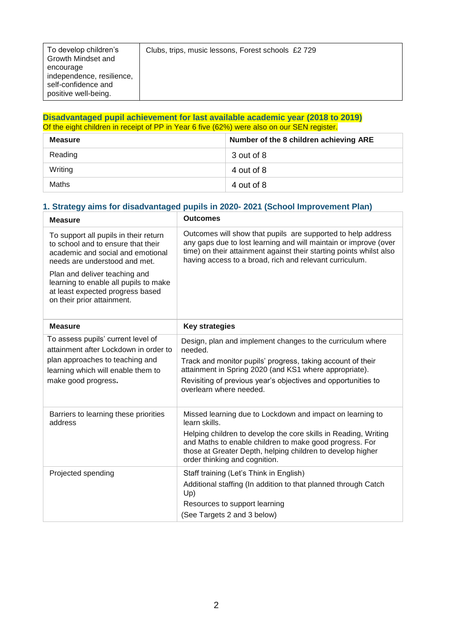#### **Disadvantaged pupil achievement for last available academic year (2018 to 2019)** Of the eight children in receipt of PP in Year 6 five (62%) were also on our SEN register.

| <b>Measure</b> | Number of the 8 children achieving ARE |
|----------------|----------------------------------------|
| Reading        | 3 out of 8                             |
| Writing        | 4 out of 8                             |
| Maths          | 4 out of 8                             |

### **1. Strategy aims for disadvantaged pupils in 2020- 2021 (School Improvement Plan)**

| <b>Measure</b>                                                                                                                                                              | <b>Outcomes</b>                                                                                                                                                                                                                                                                                         |
|-----------------------------------------------------------------------------------------------------------------------------------------------------------------------------|---------------------------------------------------------------------------------------------------------------------------------------------------------------------------------------------------------------------------------------------------------------------------------------------------------|
| To support all pupils in their return<br>to school and to ensure that their<br>academic and social and emotional<br>needs are understood and met.                           | Outcomes will show that pupils are supported to help address<br>any gaps due to lost learning and will maintain or improve (over<br>time) on their attainment against their starting points whilst also<br>having access to a broad, rich and relevant curriculum.                                      |
| Plan and deliver teaching and<br>learning to enable all pupils to make<br>at least expected progress based<br>on their prior attainment.                                    |                                                                                                                                                                                                                                                                                                         |
| <b>Measure</b>                                                                                                                                                              | <b>Key strategies</b>                                                                                                                                                                                                                                                                                   |
| To assess pupils' current level of<br>attainment after Lockdown in order to<br>plan approaches to teaching and<br>learning which will enable them to<br>make good progress. | Design, plan and implement changes to the curriculum where<br>needed.<br>Track and monitor pupils' progress, taking account of their<br>attainment in Spring 2020 (and KS1 where appropriate).<br>Revisiting of previous year's objectives and opportunities to<br>overlearn where needed.              |
| Barriers to learning these priorities<br>address                                                                                                                            | Missed learning due to Lockdown and impact on learning to<br>learn skills.<br>Helping children to develop the core skills in Reading, Writing<br>and Maths to enable children to make good progress. For<br>those at Greater Depth, helping children to develop higher<br>order thinking and cognition. |
| Projected spending                                                                                                                                                          | Staff training (Let's Think in English)<br>Additional staffing (In addition to that planned through Catch<br>Up)<br>Resources to support learning<br>(See Targets 2 and 3 below)                                                                                                                        |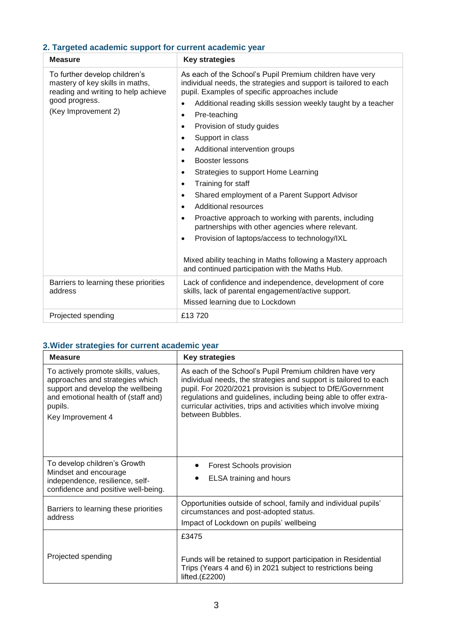## **2. Targeted academic support for current academic year**

| <b>Measure</b>                                                                                                                                   | <b>Key strategies</b>                                                                                                                                                                                                                                                                                                                                                                                                                                                                                                                                                                                                                                                                                                                                                                                                                                                                                                                                          |  |
|--------------------------------------------------------------------------------------------------------------------------------------------------|----------------------------------------------------------------------------------------------------------------------------------------------------------------------------------------------------------------------------------------------------------------------------------------------------------------------------------------------------------------------------------------------------------------------------------------------------------------------------------------------------------------------------------------------------------------------------------------------------------------------------------------------------------------------------------------------------------------------------------------------------------------------------------------------------------------------------------------------------------------------------------------------------------------------------------------------------------------|--|
| To further develop children's<br>mastery of key skills in maths,<br>reading and writing to help achieve<br>good progress.<br>(Key Improvement 2) | As each of the School's Pupil Premium children have very<br>individual needs, the strategies and support is tailored to each<br>pupil. Examples of specific approaches include<br>Additional reading skills session weekly taught by a teacher<br>$\bullet$<br>Pre-teaching<br>$\bullet$<br>Provision of study guides<br>$\bullet$<br>Support in class<br>$\bullet$<br>Additional intervention groups<br>$\bullet$<br>Booster lessons<br>$\bullet$<br>Strategies to support Home Learning<br>$\bullet$<br>Training for staff<br>$\bullet$<br>Shared employment of a Parent Support Advisor<br>$\bullet$<br><b>Additional resources</b><br>$\bullet$<br>Proactive approach to working with parents, including<br>$\bullet$<br>partnerships with other agencies where relevant.<br>Provision of laptops/access to technology/IXL<br>$\bullet$<br>Mixed ability teaching in Maths following a Mastery approach<br>and continued participation with the Maths Hub. |  |
| Barriers to learning these priorities<br>address                                                                                                 | Lack of confidence and independence, development of core<br>skills, lack of parental engagement/active support.<br>Missed learning due to Lockdown                                                                                                                                                                                                                                                                                                                                                                                                                                                                                                                                                                                                                                                                                                                                                                                                             |  |
| Projected spending                                                                                                                               | £13720                                                                                                                                                                                                                                                                                                                                                                                                                                                                                                                                                                                                                                                                                                                                                                                                                                                                                                                                                         |  |

# **3.Wider strategies for current academic year**

| <b>Measure</b>                                                                                                                                                                     | <b>Key strategies</b>                                                                                                                                                                                                                                                                                                                                   |  |
|------------------------------------------------------------------------------------------------------------------------------------------------------------------------------------|---------------------------------------------------------------------------------------------------------------------------------------------------------------------------------------------------------------------------------------------------------------------------------------------------------------------------------------------------------|--|
| To actively promote skills, values,<br>approaches and strategies which<br>support and develop the wellbeing<br>and emotional health of (staff and)<br>pupils.<br>Key Improvement 4 | As each of the School's Pupil Premium children have very<br>individual needs, the strategies and support is tailored to each<br>pupil. For 2020/2021 provision is subject to DfE/Government<br>regulations and guidelines, including being able to offer extra-<br>curricular activities, trips and activities which involve mixing<br>between Bubbles. |  |
| To develop children's Growth<br>Mindset and encourage<br>independence, resilience, self-<br>confidence and positive well-being.                                                    | <b>Forest Schools provision</b><br>ELSA training and hours                                                                                                                                                                                                                                                                                              |  |
| Barriers to learning these priorities<br>address                                                                                                                                   | Opportunities outside of school, family and individual pupils'<br>circumstances and post-adopted status.<br>Impact of Lockdown on pupils' wellbeing                                                                                                                                                                                                     |  |
| Projected spending                                                                                                                                                                 | £3475<br>Funds will be retained to support participation in Residential<br>Trips (Years 4 and 6) in 2021 subject to restrictions being<br>lifted. $(E2200)$                                                                                                                                                                                             |  |